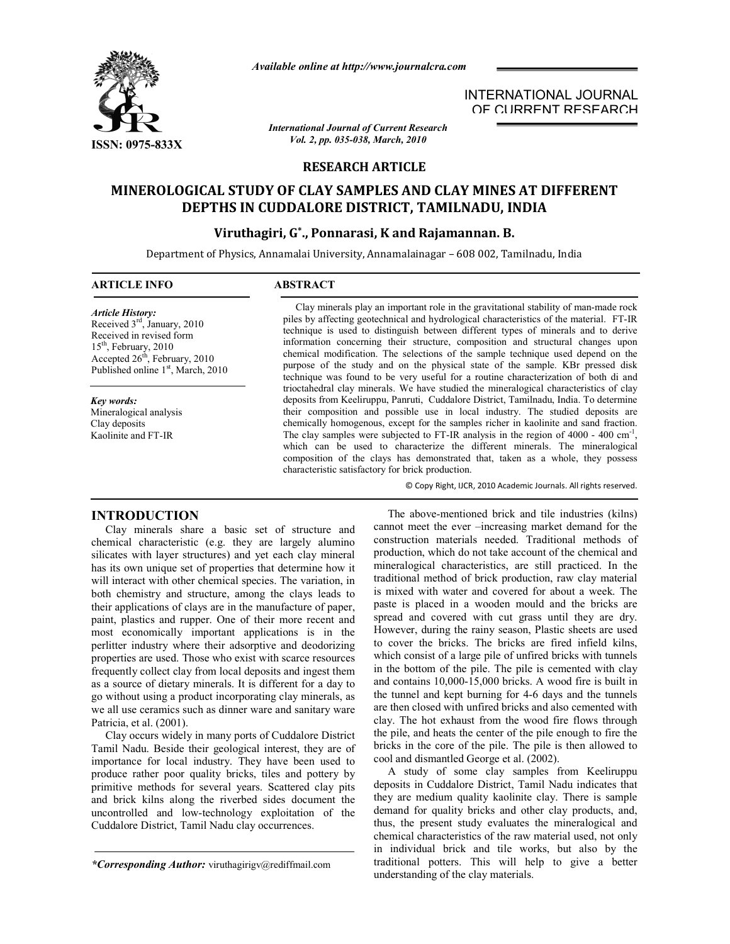

*Available online at http://www.journalcra.com*

*International Journal of Current Research Vol. 2, pp. 035-038, March, 2010*

INTERNATIONAL JOURNAL OF CURRENT RESEARCH

# **RESEARCH ARTICLE**

# **MINEROLOGICAL STUDY OF CLAY SAMPLES AND CLAY MINES AT DIFFERENT DEPTHS IN CUDDALORE DISTRICT, TAMILNADU, INDIA**

# **Viruthagiri, G\*., Ponnarasi, K and Rajamannan. B.**

Department of Physics, Annamalai University, Annamalainagar – 608 002, Tamilnadu, India

#### **ARTICLE INFO ABSTRACT**

*Article History:* Received 3rd, January, 2010 Received in revised form 15<sup>th</sup>, February, 2010 Accepted 26<sup>th</sup>, February, 2010 Published online 1<sup>st</sup>, March, 2010

*Key words:* Mineralogical analysis Clay deposits Kaolinite and FT-IR

 Clay minerals play an important role in the gravitational stability of man-made rock piles by affecting geotechnical and hydrological characteristics of the material. FT-IR technique is used to distinguish between different types of minerals and to derive information concerning their structure, composition and structural changes upon chemical modification. The selections of the sample technique used depend on the purpose of the study and on the physical state of the sample. KBr pressed disk technique was found to be very useful for a routine characterization of both di and trioctahedral clay minerals. We have studied the mineralogical characteristics of clay deposits from Keeliruppu, Panruti, Cuddalore District, Tamilnadu, India. To determine their composition and possible use in local industry. The studied deposits are chemically homogenous, except for the samples richer in kaolinite and sand fraction. The clay samples were subjected to FT-IR analysis in the region of  $4000 - 400$  cm<sup>-1</sup>, which can be used to characterize the different minerals. The mineralogical composition of the clays has demonstrated that, taken as a whole, they possess characteristic satisfactory for brick production.

© Copy Right, IJCR, 2010 Academic Journals. All rights reserved.

### **INTRODUCTION**

 Clay minerals share a basic set of structure and chemical characteristic (e.g. they are largely alumino silicates with layer structures) and yet each clay mineral has its own unique set of properties that determine how it will interact with other chemical species. The variation, in both chemistry and structure, among the clays leads to their applications of clays are in the manufacture of paper, paint, plastics and rupper. One of their more recent and most economically important applications is in the perlitter industry where their adsorptive and deodorizing properties are used. Those who exist with scarce resources frequently collect clay from local deposits and ingest them as a source of dietary minerals. It is different for a day to go without using a product incorporating clay minerals, as we all use ceramics such as dinner ware and sanitary ware Patricia, et al. (2001).

 Clay occurs widely in many ports of Cuddalore District Tamil Nadu. Beside their geological interest, they are of importance for local industry. They have been used to produce rather poor quality bricks, tiles and pottery by primitive methods for several years. Scattered clay pits and brick kilns along the riverbed sides document the uncontrolled and low-technology exploitation of the Cuddalore District, Tamil Nadu clay occurrences.

 The above-mentioned brick and tile industries (kilns) cannot meet the ever –increasing market demand for the construction materials needed. Traditional methods of production, which do not take account of the chemical and mineralogical characteristics, are still practiced. In the traditional method of brick production, raw clay material is mixed with water and covered for about a week. The paste is placed in a wooden mould and the bricks are spread and covered with cut grass until they are dry. However, during the rainy season, Plastic sheets are used to cover the bricks. The bricks are fired infield kilns, which consist of a large pile of unfired bricks with tunnels in the bottom of the pile. The pile is cemented with clay and contains 10,000-15,000 bricks. A wood fire is built in the tunnel and kept burning for 4-6 days and the tunnels are then closed with unfired bricks and also cemented with clay. The hot exhaust from the wood fire flows through the pile, and heats the center of the pile enough to fire the bricks in the core of the pile. The pile is then allowed to cool and dismantled George et al. (2002).

 A study of some clay samples from Keeliruppu deposits in Cuddalore District, Tamil Nadu indicates that they are medium quality kaolinite clay. There is sample demand for quality bricks and other clay products, and, thus, the present study evaluates the mineralogical and chemical characteristics of the raw material used, not only in individual brick and tile works, but also by the traditional potters. This will help to give a better understanding of the clay materials.

*<sup>\*</sup>Corresponding Author:* viruthagirigv@rediffmail.com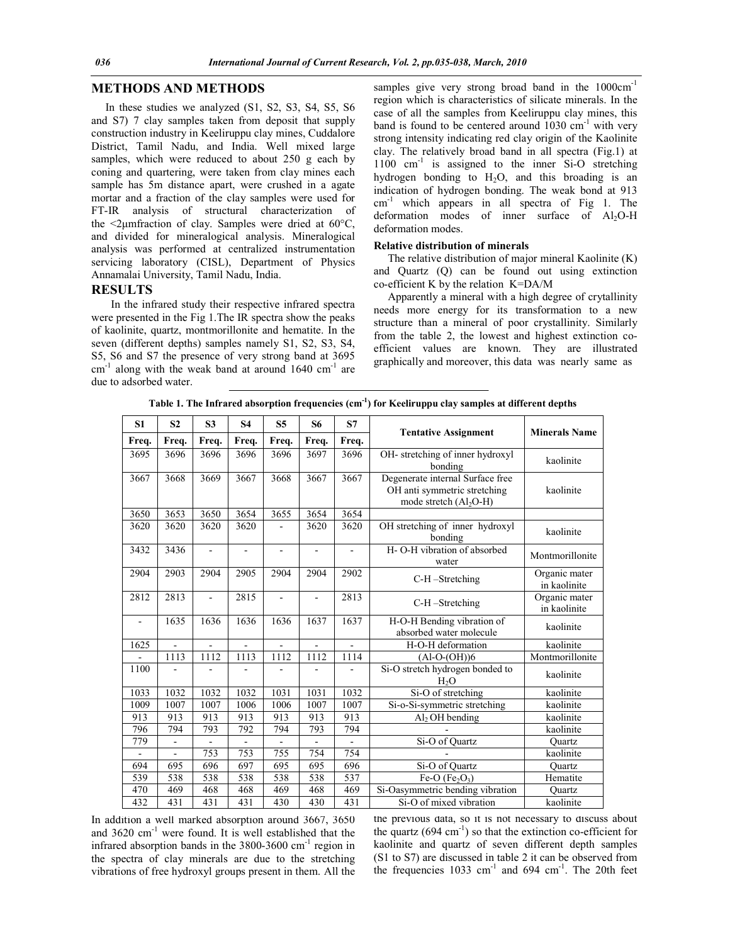# **METHODS AND METHODS**

 In these studies we analyzed (S1, S2, S3, S4, S5, S6 and S7) 7 clay samples taken from deposit that supply construction industry in Keeliruppu clay mines, Cuddalore District, Tamil Nadu, and India. Well mixed large samples, which were reduced to about 250 g each by coning and quartering, were taken from clay mines each sample has 5m distance apart, were crushed in a agate mortar and a fraction of the clay samples were used for FT-IR analysis of structural characterization of the  $\leq$ 2µmfraction of clay. Samples were dried at 60 $\degree$ C, and divided for mineralogical analysis. Mineralogical analysis was performed at centralized instrumentation servicing laboratory (CISL), Department of Physics Annamalai University, Tamil Nadu, India.

### **RESULTS**

In the infrared study their respective infrared spectra were presented in the Fig 1.The IR spectra show the peaks of kaolinite, quartz, montmorillonite and hematite. In the seven (different depths) samples namely S1, S2, S3, S4, S5, S6 and S7 the presence of very strong band at 3695  $cm<sup>-1</sup>$  along with the weak band at around 1640  $cm<sup>-1</sup>$  are due to adsorbed water.

samples give very strong broad band in the  $1000 \text{cm}^{-1}$ region which is characteristics of silicate minerals. In the case of all the samples from Keeliruppu clay mines, this band is found to be centered around  $1030 \text{ cm}^{-1}$  with very strong intensity indicating red clay origin of the Kaolinite clay. The relatively broad band in all spectra (Fig.1) at  $1100 \text{ cm}^{-1}$  is assigned to the inner Si-O stretching hydrogen bonding to  $H_2O$ , and this broading is an indication of hydrogen bonding. The weak bond at 913 cm-1 which appears in all spectra of Fig 1. The deformation modes of inner surface of  $Al_2O-H$ deformation modes.

#### **Relative distribution of minerals**

The relative distribution of major mineral Kaolinite (K) and Quartz (Q) can be found out using extinction co-efficient K by the relation K=DA/M

 Apparently a mineral with a high degree of crytallinity needs more energy for its transformation to a new structure than a mineral of poor crystallinity. Similarly from the table 2, the lowest and highest extinction coefficient values are known. They are illustrated graphically and moreover, this data was nearly same as

| S1             | S <sub>2</sub> | S <sub>3</sub> | S <sub>4</sub> | S5                       | S6             | S7             |                                                                                                           |                               |  |
|----------------|----------------|----------------|----------------|--------------------------|----------------|----------------|-----------------------------------------------------------------------------------------------------------|-------------------------------|--|
| Freq.          | Freq.          | Freq.          | Freq.          | Freq.                    | Freq.          | Freq.          | <b>Tentative Assignment</b>                                                                               | <b>Minerals Name</b>          |  |
| 3695           | 3696           | 3696           | 3696           | 3696                     | 3697           | 3696           | OH- stretching of inner hydroxyl<br>bonding                                                               | kaolinite                     |  |
| 3667           | 3668           | 3669           | 3667           | 3668                     | 3667           | 3667           | Degenerate internal Surface free<br>OH anti symmetric stretching<br>kaolinite<br>mode stretch $(Al_2O-H)$ |                               |  |
| 3650           | 3653           | 3650           | 3654           | 3655                     | 3654           | 3654           |                                                                                                           |                               |  |
| 3620           | 3620           | 3620           | 3620           |                          | 3620           | 3620           | OH stretching of inner hydroxyl<br>bonding                                                                | kaolinite                     |  |
| 3432           | 3436           |                |                |                          |                | $\blacksquare$ | H-O-H vibration of absorbed<br>water                                                                      | Montmorillonite               |  |
| 2904           | 2903           | 2904           | 2905           | 2904                     | 2904           | 2902           | C-H-Stretching                                                                                            | Organic mater<br>in kaolinite |  |
| 2812           | 2813           | ÷.             | 2815           | ä,                       | $\blacksquare$ | 2813           | C-H-Stretching                                                                                            | Organic mater<br>in kaolinite |  |
| $\blacksquare$ | 1635           | 1636           | 1636           | 1636                     | 1637           | 1637           | H-O-H Bending vibration of<br>absorbed water molecule                                                     | kaolinite                     |  |
| 1625           |                |                |                |                          |                |                | H-O-H deformation                                                                                         | kaolinite                     |  |
|                | 1113           | 1112           | 1113           | 1112                     | 1112           | 1114           | $(Al-O-(OH))6$                                                                                            | Montmorillonite               |  |
| 1100           |                |                |                |                          |                |                | Si-O stretch hydrogen bonded to<br>H <sub>2</sub> O                                                       | kaolinite                     |  |
| 1033           | 1032           | 1032           | 1032           | 1031                     | 1031           | 1032           | Si-O of stretching                                                                                        | kaolinite                     |  |
| 1009           | 1007           | 1007           | 1006           | 1006                     | 1007           | 1007           | Si-o-Si-symmetric stretching                                                                              | kaolinite                     |  |
| 913            | 913            | 913            | 913            | 913                      | 913            | 913            | Al <sub>2</sub> OH bending                                                                                | kaolinite                     |  |
| 796            | 794            | 793            | 792            | 794                      | 793            | 794            |                                                                                                           | kaolinite                     |  |
| 779            | $\blacksquare$ | ÷,             | $\overline{a}$ | $\overline{\phantom{a}}$ | $\blacksquare$ | $\blacksquare$ | Si-O of Quartz                                                                                            | Quartz                        |  |
|                |                | 753            | 753            | 755                      | 754            | 754            |                                                                                                           | kaolinite                     |  |
| 694            | 695            | 696            | 697            | 695                      | 695            | 696            | Si-O of Quartz                                                                                            | Ouartz                        |  |
| 539            | 538            | 538            | 538            | 538                      | 538            | 537            | Fe-O $(Fe2O3)$                                                                                            | Hematite                      |  |
| 470            | 469            | 468            | 468            | 469                      | 468            | 469            | Si-Oasymmetric bending vibration                                                                          | Quartz                        |  |
| 432            | 431            | 431            | 431            | 430                      | 430            | 431            | Si-O of mixed vibration                                                                                   | kaolinite                     |  |

**Table 1. The Infrared absorption frequencies (cm-1 ) for Keeliruppu clay samples at different depths**

In addition a well marked absorption around 3667, 3650 and 3620 cm-1 were found. It is well established that the infrared absorption bands in the 3800-3600 cm-1 region in the spectra of clay minerals are due to the stretching vibrations of free hydroxyl groups present in them. All the

the previous data, so it is not necessary to discuss about the quartz  $(694 \text{ cm}^{-1})$  so that the extinction co-efficient for kaolinite and quartz of seven different depth samples (S1 to S7) are discussed in table 2 it can be observed from the frequencies  $1033 \text{ cm}^{-1}$  and  $694 \text{ cm}^{-1}$ . The 20th feet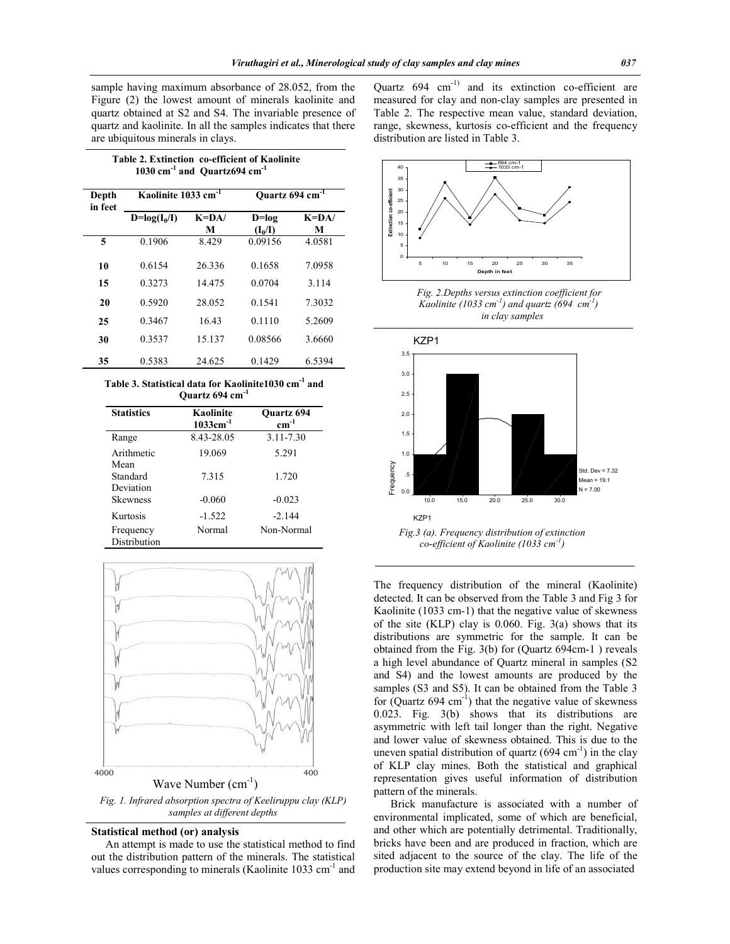sample having maximum absorbance of 28.052, from the Figure (2) the lowest amount of minerals kaolinite and quartz obtained at S2 and S4. The invariable presence of quartz and kaolinite. In all the samples indicates that there are ubiquitous minerals in clays.

 **Table 2. Extinction co-efficient of Kaolinite 1030 cm-1 and Quartz694 cm-1**

| Depth<br>in feet | Kaolinite 1033 cm <sup>-1</sup> |           | Quartz 694 cm <sup>-1</sup> |           |
|------------------|---------------------------------|-----------|-----------------------------|-----------|
|                  | $D = log(I_0/I)$                | $K = DA/$ | $D = log$                   | $K = DA/$ |
|                  |                                 | М         | $(I_0/I)$                   | M         |
| 5                | 0.1906                          | 8.429     | 0.09156                     | 4.0581    |
| 10               | 0.6154                          | 26.336    | 0.1658                      | 7.0958    |
| 15               | 0.3273                          | 14.475    | 0.0704                      | 3.114     |
| 20               | 0.5920                          | 28.052    | 0.1541                      | 7.3032    |
| 25               | 0.3467                          | 16.43     | 0.1110                      | 5.2609    |
| 30               | 0.3537                          | 15.137    | 0.08566                     | 3.6660    |
| 35               | 0.5383                          | 24.625    | 0.1429                      | 6.5394    |

**Table 3. Statistical data for Kaolinite1030 cm-1 and Quartz 694 cm-1**

| <b>Statistics</b>             | Kaolinite<br>$1033cm^{-1}$ | <b>Ouartz 694</b><br>$cm^{-1}$ |
|-------------------------------|----------------------------|--------------------------------|
| Range                         | 8.43-28.05                 | 3.11-7.30                      |
| Arithmetic                    | 19.069                     | 5.291                          |
| Mean<br>Standard<br>Deviation | 7.315                      | 1.720                          |
| <b>Skewness</b>               | $-0.060$                   | $-0.023$                       |
| Kurtosis                      | $-1.522$                   | $-2.144$                       |
| Frequency<br>Distribution     | Normal                     | Non-Normal                     |



*Fig. 1. Infrared absorption spectra of Keeliruppu clay (KLP) samples at different depths*

#### **Statistical method (or) analysis**

An attempt is made to use the statistical method to find out the distribution pattern of the minerals. The statistical values corresponding to minerals (Kaolinite 1033 cm<sup>-1</sup> and

Quartz  $694 \text{ cm}^{-1}$  and its extinction co-efficient are measured for clay and non-clay samples are presented in Table 2. The respective mean value, standard deviation, range, skewness, kurtosis co-efficient and the frequency distribution are listed in Table 3.



 *Fig. 2.Depths versus extinction coefficient for Kaolinite (1033 cm-1 ) and quartz (694 cm-1 ) in clay samples*



The frequency distribution of the mineral (Kaolinite) detected. It can be observed from the Table 3 and Fig 3 for Kaolinite (1033 cm-1) that the negative value of skewness of the site (KLP) clay is  $0.060$ . Fig.  $3(a)$  shows that its distributions are symmetric for the sample. It can be obtained from the Fig. 3(b) for (Quartz 694cm-1 ) reveals a high level abundance of Quartz mineral in samples (S2 and S4) and the lowest amounts are produced by the samples (S3 and S5). It can be obtained from the Table 3 for  $(Quartz 694 cm<sup>-1</sup>)$  that the negative value of skewness 0.023. Fig. 3(b) shows that its distributions are asymmetric with left tail longer than the right. Negative and lower value of skewness obtained. This is due to the uneven spatial distribution of quartz  $(694 \text{ cm}^{-1})$  in the clay of KLP clay mines. Both the statistical and graphical representation gives useful information of distribution pattern of the minerals.

 Brick manufacture is associated with a number of environmental implicated, some of which are beneficial, and other which are potentially detrimental. Traditionally, bricks have been and are produced in fraction, which are sited adjacent to the source of the clay. The life of the production site may extend beyond in life of an associated